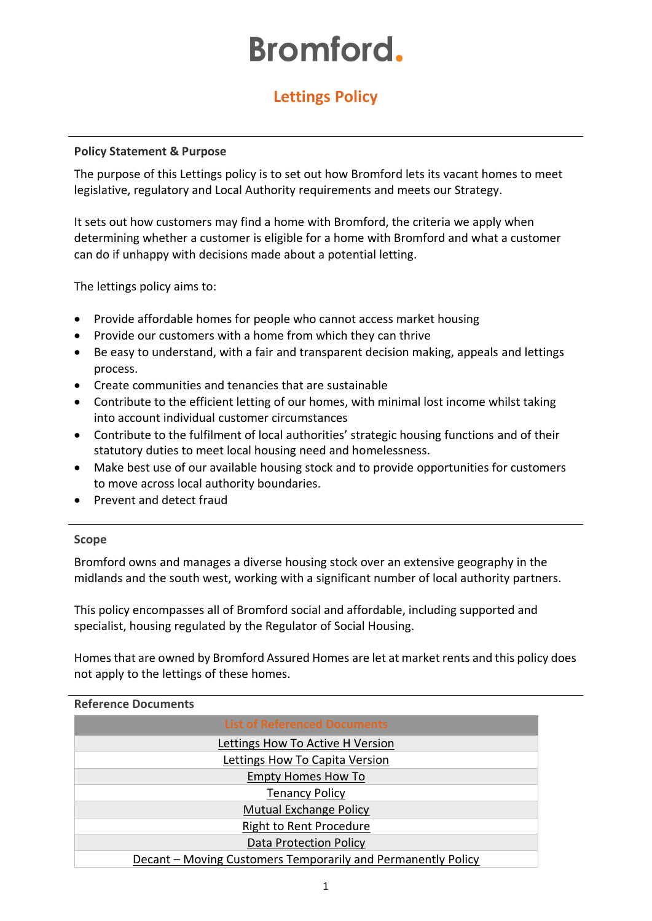# **Bromford.**

# **Lettings Policy**

#### **Policy Statement & Purpose**

The purpose of this Lettings policy is to set out how Bromford lets its vacant homes to meet legislative, regulatory and Local Authority requirements and meets our Strategy.

It sets out how customers may find a home with Bromford, the criteria we apply when determining whether a customer is eligible for a home with Bromford and what a customer can do if unhappy with decisions made about a potential letting.

The lettings policy aims to:

- Provide affordable homes for people who cannot access market housing
- Provide our customers with a home from which they can thrive
- Be easy to understand, with a fair and transparent decision making, appeals and lettings process.
- Create communities and tenancies that are sustainable
- Contribute to the efficient letting of our homes, with minimal lost income whilst taking into account individual customer circumstances
- Contribute to the fulfilment of local authorities' strategic housing functions and of their statutory duties to meet local housing need and homelessness.
- Make best use of our available housing stock and to provide opportunities for customers to move across local authority boundaries.
- Prevent and detect fraud

#### **Scope**

Bromford owns and manages a diverse housing stock over an extensive geography in the midlands and the south west, working with a significant number of local authority partners.

This policy encompasses all of Bromford social and affordable, including supported and specialist, housing regulated by the Regulator of Social Housing.

Homes that are owned by Bromford Assured Homes are let at market rents and this policy does not apply to the lettings of these homes.

#### **Reference Documents**

| <b>List of Referenced Documents</b>                          |
|--------------------------------------------------------------|
| Lettings How To Active H Version                             |
| Lettings How To Capita Version                               |
| <b>Empty Homes How To</b>                                    |
| <b>Tenancy Policy</b>                                        |
| <b>Mutual Exchange Policy</b>                                |
| <b>Right to Rent Procedure</b>                               |
| <b>Data Protection Policy</b>                                |
| Decant - Moving Customers Temporarily and Permanently Policy |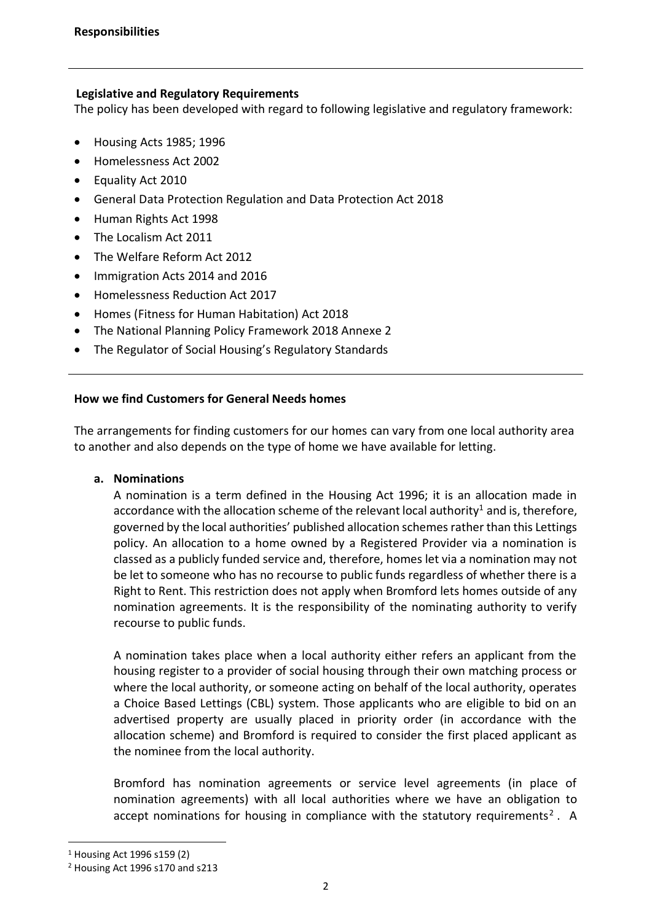#### **Legislative and Regulatory Requirements**

The policy has been developed with regard to following legislative and regulatory framework:

- [Housing Acts 1985;](http://www.legislation.gov.uk/ukpga/1985/68/contents) [1996](http://www.legislation.gov.uk/ukpga/1996/52/contents)
- [Homelessness Act 2002](http://www.legislation.gov.uk/ukpga/2002/7/contents)
- [Equality Act](http://www.legislation.gov.uk/ukpga/2010/15/contents) 2010
- General Data Protection Regulation and [Data Protection Act 2018](http://www.legislation.gov.uk/ukpga/1998/29/contents)
- [Human Rights Act 1998](http://www.legislation.gov.uk/ukpga/1998/42/contents)
- [The Localism Act 2011](http://www.legislation.gov.uk/ukpga/2011/20/contents/enacted)
- [The Welfare Reform Act 2012](http://www.legislation.gov.uk/ukpga/2012/5/contents/enacted)
- Immigration Acts 2014 and 2016
- Homelessness Reduction Act 2017
- Homes (Fitness for Human Habitation) Act 2018
- The National Planning Policy Framework 2018 Annexe 2
- The Regulator of Social Housing's Regulatory Standards

#### **How we find Customers for General Needs homes**

The arrangements for finding customers for our homes can vary from one local authority area to another and also depends on the type of home we have available for letting.

# **a. Nominations**

A nomination is a term defined in the Housing Act 1996; it is an allocation made in accordance with the allocation scheme of the relevant local authority<sup>1</sup> and is, therefore, governed by the local authorities' published allocation schemes rather than this Lettings policy. An allocation to a home owned by a Registered Provider via a nomination is classed as a publicly funded service and, therefore, homes let via a nomination may not be let to someone who has no recourse to public funds regardless of whether there is a Right to Rent. This restriction does not apply when Bromford lets homes outside of any nomination agreements. It is the responsibility of the nominating authority to verify recourse to public funds.

A nomination takes place when a local authority either refers an applicant from the housing register to a provider of social housing through their own matching process or where the local authority, or someone acting on behalf of the local authority, operates a Choice Based Lettings (CBL) system. Those applicants who are eligible to bid on an advertised property are usually placed in priority order (in accordance with the allocation scheme) and Bromford is required to consider the first placed applicant as the nominee from the local authority.

Bromford has nomination agreements or service level agreements (in place of nomination agreements) with all local authorities where we have an obligation to accept nominations for housing in compliance with the statutory requirements<sup>2</sup>. A

<sup>1</sup> Housing Act 1996 s159 (2)

<sup>2</sup> Housing Act 1996 s170 and s213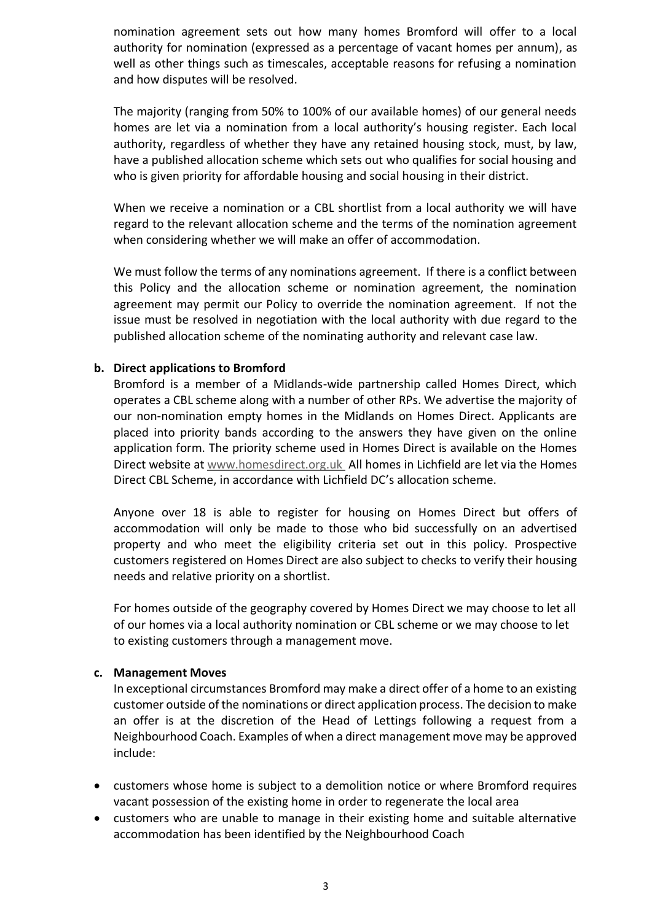nomination agreement sets out how many homes Bromford will offer to a local authority for nomination (expressed as a percentage of vacant homes per annum), as well as other things such as timescales, acceptable reasons for refusing a nomination and how disputes will be resolved.

The majority (ranging from 50% to 100% of our available homes) of our general needs homes are let via a nomination from a local authority's housing register. Each local authority, regardless of whether they have any retained housing stock, must, by law, have a published allocation scheme which sets out who qualifies for social housing and who is given priority for affordable housing and social housing in their district.

When we receive a nomination or a CBL shortlist from a local authority we will have regard to the relevant allocation scheme and the terms of the nomination agreement when considering whether we will make an offer of accommodation.

We must follow the terms of any nominations agreement. If there is a conflict between this Policy and the allocation scheme or nomination agreement, the nomination agreement may permit our Policy to override the nomination agreement. If not the issue must be resolved in negotiation with the local authority with due regard to the published allocation scheme of the nominating authority and relevant case law.

#### **b. Direct applications to Bromford**

Bromford is a member of a Midlands-wide partnership called Homes Direct, which operates a CBL scheme along with a number of other RPs. We advertise the majority of our non-nomination empty homes in the Midlands on Homes Direct. Applicants are placed into priority bands according to the answers they have given on the online application form. The priority scheme used in Homes Direct is available on the Homes Direct website at [www.homesdirect.org.uk](http://www.homesdirect.org.uk/) All homes in Lichfield are let via the Homes Direct CBL Scheme, in accordance with Lichfield DC's allocation scheme.

Anyone over 18 is able to register for housing on Homes Direct but offers of accommodation will only be made to those who bid successfully on an advertised property and who meet the eligibility criteria set out in this policy. Prospective customers registered on Homes Direct are also subject to checks to verify their housing needs and relative priority on a shortlist.

For homes outside of the geography covered by Homes Direct we may choose to let all of our homes via a local authority nomination or CBL scheme or we may choose to let to existing customers through a management move.

#### **c. Management Moves**

In exceptional circumstances Bromford may make a direct offer of a home to an existing customer outside of the nominations or direct application process. The decision to make an offer is at the discretion of the Head of Lettings following a request from a Neighbourhood Coach. Examples of when a direct management move may be approved include:

- customers whose home is subject to a demolition notice or where Bromford requires vacant possession of the existing home in order to regenerate the local area
- customers who are unable to manage in their existing home and suitable alternative accommodation has been identified by the Neighbourhood Coach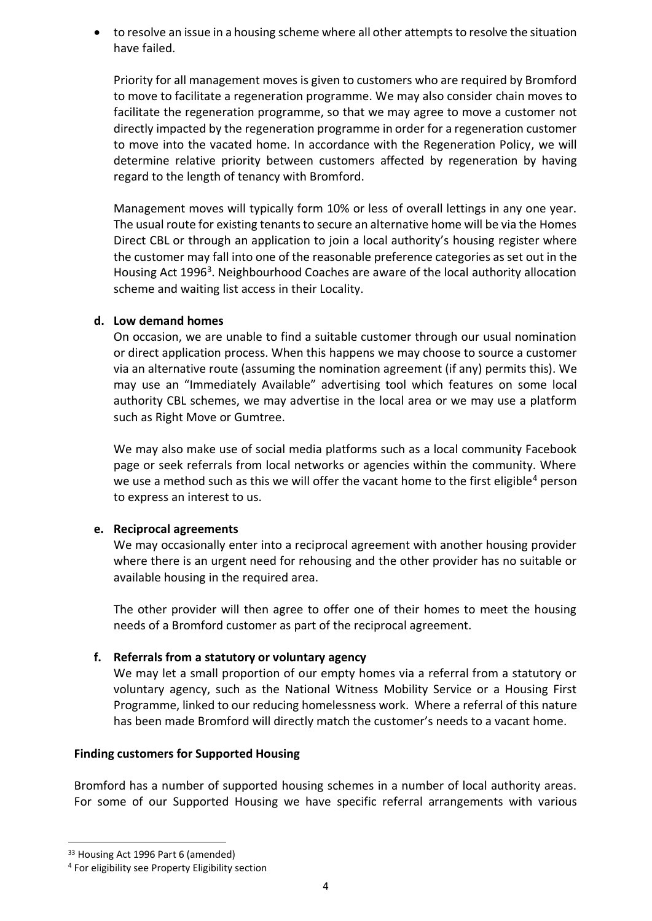• to resolve an issue in a housing scheme where all other attempts to resolve the situation have failed.

Priority for all management moves is given to customers who are required by Bromford to move to facilitate a regeneration programme. We may also consider chain moves to facilitate the regeneration programme, so that we may agree to move a customer not directly impacted by the regeneration programme in order for a regeneration customer to move into the vacated home. In accordance with the Regeneration Policy, we will determine relative priority between customers affected by regeneration by having regard to the length of tenancy with Bromford.

Management moves will typically form 10% or less of overall lettings in any one year. The usual route for existing tenants to secure an alternative home will be via the Homes Direct CBL or through an application to join a local authority's housing register where the customer may fall into one of the reasonable preference categories as set out in the Housing Act 1996<sup>3</sup>. Neighbourhood Coaches are aware of the local authority allocation scheme and waiting list access in their Locality.

#### **d. Low demand homes**

On occasion, we are unable to find a suitable customer through our usual nomination or direct application process. When this happens we may choose to source a customer via an alternative route (assuming the nomination agreement (if any) permits this). We may use an "Immediately Available" advertising tool which features on some local authority CBL schemes, we may advertise in the local area or we may use a platform such as Right Move or Gumtree.

We may also make use of social media platforms such as a local community Facebook page or seek referrals from local networks or agencies within the community. Where we use a method such as this we will offer the vacant home to the first eligible<sup>4</sup> person to express an interest to us.

#### **e. Reciprocal agreements**

We may occasionally enter into a reciprocal agreement with another housing provider where there is an urgent need for rehousing and the other provider has no suitable or available housing in the required area.

The other provider will then agree to offer one of their homes to meet the housing needs of a Bromford customer as part of the reciprocal agreement.

# **f. Referrals from a statutory or voluntary agency**

We may let a small proportion of our empty homes via a referral from a statutory or voluntary agency, such as the National Witness Mobility Service or a Housing First Programme, linked to our reducing homelessness work. Where a referral of this nature has been made Bromford will directly match the customer's needs to a vacant home.

#### **Finding customers for Supported Housing**

Bromford has a number of supported housing schemes in a number of local authority areas. For some of our Supported Housing we have specific referral arrangements with various

<sup>33</sup> Housing Act 1996 Part 6 (amended)

<sup>4</sup> For eligibility see Property Eligibility section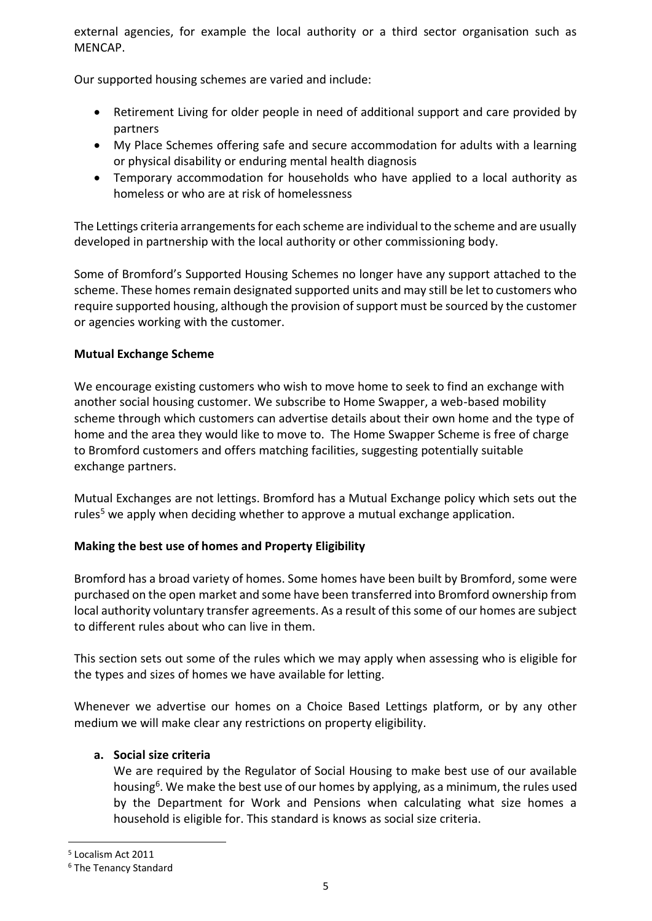external agencies, for example the local authority or a third sector organisation such as MENCAP.

Our supported housing schemes are varied and include:

- Retirement Living for older people in need of additional support and care provided by partners
- My Place Schemes offering safe and secure accommodation for adults with a learning or physical disability or enduring mental health diagnosis
- Temporary accommodation for households who have applied to a local authority as homeless or who are at risk of homelessness

The Lettings criteria arrangements for each scheme are individual to the scheme and are usually developed in partnership with the local authority or other commissioning body.

Some of Bromford's Supported Housing Schemes no longer have any support attached to the scheme. These homes remain designated supported units and may still be let to customers who require supported housing, although the provision of support must be sourced by the customer or agencies working with the customer.

# **Mutual Exchange Scheme**

We encourage existing customers who wish to move home to seek to find an exchange with another social housing customer. We subscribe to Home Swapper, a web-based mobility scheme through which customers can advertise details about their own home and the type of home and the area they would like to move to. The Home Swapper Scheme is free of charge to Bromford customers and offers matching facilities, suggesting potentially suitable exchange partners.

Mutual Exchanges are not lettings. Bromford has a Mutual Exchange policy which sets out the rules<sup>5</sup> we apply when deciding whether to approve a mutual exchange application.

# **Making the best use of homes and Property Eligibility**

Bromford has a broad variety of homes. Some homes have been built by Bromford, some were purchased on the open market and some have been transferred into Bromford ownership from local authority voluntary transfer agreements. As a result of this some of our homes are subject to different rules about who can live in them.

This section sets out some of the rules which we may apply when assessing who is eligible for the types and sizes of homes we have available for letting.

Whenever we advertise our homes on a Choice Based Lettings platform, or by any other medium we will make clear any restrictions on property eligibility.

# **a. Social size criteria**

We are required by the Regulator of Social Housing to make best use of our available housing<sup>6</sup>. We make the best use of our homes by applying, as a minimum, the rules used by the Department for Work and Pensions when calculating what size homes a household is eligible for. This standard is knows as social size criteria.

<sup>5</sup> Localism Act 2011

<sup>6</sup> The Tenancy Standard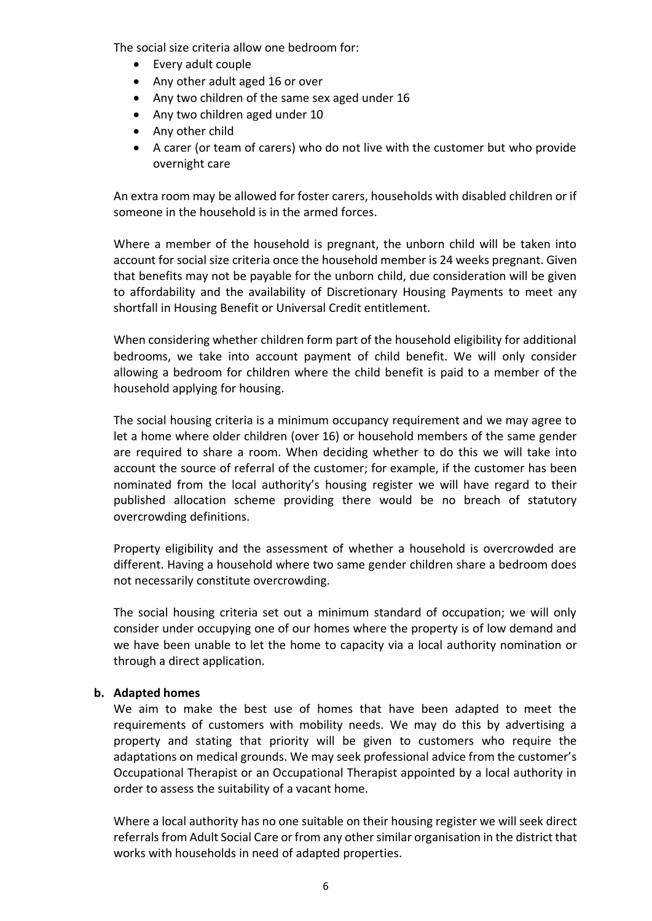The social size criteria allow one bedroom for:

- Every adult couple
- Any other adult aged 16 or over
- Any two children of the same sex aged under 16
- Any two children aged under 10
- Any other child
- A carer (or team of carers) who do not live with the customer but who provide overnight care

An extra room may be allowed for foster carers, households with disabled children or if someone in the household is in the armed forces.

Where a member of the household is pregnant, the unborn child will be taken into account for social size criteria once the household member is 24 weeks pregnant. Given that benefits may not be payable for the unborn child, due consideration will be given to affordability and the availability of Discretionary Housing Payments to meet any shortfall in Housing Benefit or Universal Credit entitlement.

When considering whether children form part of the household eligibility for additional bedrooms, we take into account payment of child benefit. We will only consider allowing a bedroom for children where the child benefit is paid to a member of the household applying for housing.

The social housing criteria is a minimum occupancy requirement and we may agree to let a home where older children (over 16) or household members of the same gender are required to share a room. When deciding whether to do this we will take into account the source of referral of the customer; for example, if the customer has been nominated from the local authority's housing register we will have regard to their published allocation scheme providing there would be no breach of statutory overcrowding definitions.

Property eligibility and the assessment of whether a household is overcrowded are different. Having a household where two same gender children share a bedroom does not necessarily constitute overcrowding.

The social housing criteria set out a minimum standard of occupation; we will only consider under occupying one of our homes where the property is of low demand and we have been unable to let the home to capacity via a local authority nomination or through a direct application.

# **b. Adapted homes**

We aim to make the best use of homes that have been adapted to meet the requirements of customers with mobility needs. We may do this by advertising a property and stating that priority will be given to customers who require the adaptations on medical grounds. We may seek professional advice from the customer's Occupational Therapist or an Occupational Therapist appointed by a local authority in order to assess the suitability of a vacant home.

Where a local authority has no one suitable on their housing register we will seek direct referrals from Adult Social Care or from any other similar organisation in the district that works with households in need of adapted properties.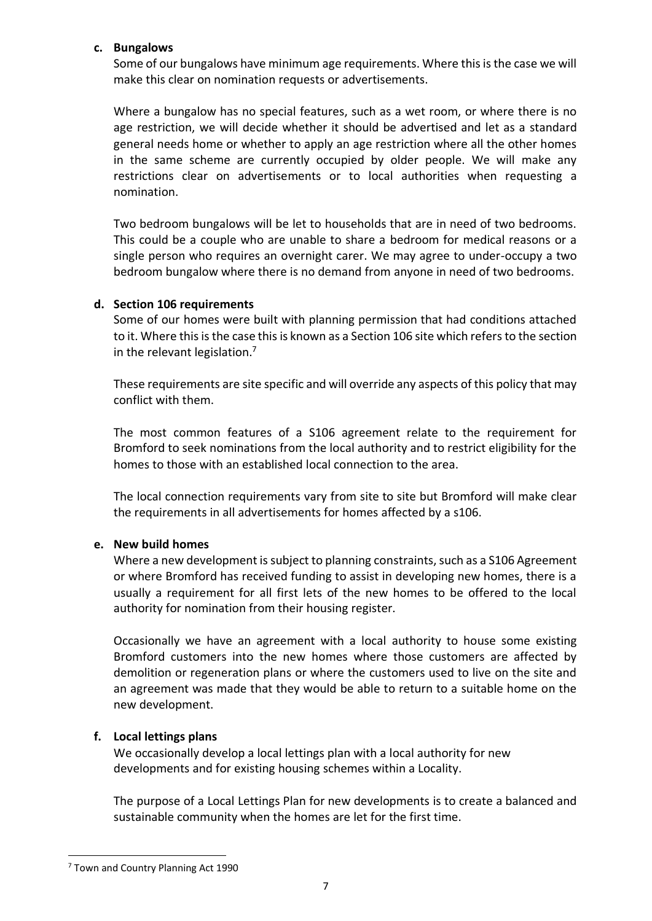#### **c. Bungalows**

Some of our bungalows have minimum age requirements. Where this is the case we will make this clear on nomination requests or advertisements.

Where a bungalow has no special features, such as a wet room, or where there is no age restriction, we will decide whether it should be advertised and let as a standard general needs home or whether to apply an age restriction where all the other homes in the same scheme are currently occupied by older people. We will make any restrictions clear on advertisements or to local authorities when requesting a nomination.

Two bedroom bungalows will be let to households that are in need of two bedrooms. This could be a couple who are unable to share a bedroom for medical reasons or a single person who requires an overnight carer. We may agree to under-occupy a two bedroom bungalow where there is no demand from anyone in need of two bedrooms.

#### **d. Section 106 requirements**

Some of our homes were built with planning permission that had conditions attached to it. Where this is the case this is known as a Section 106 site which refers to the section in the relevant legislation.<sup>7</sup>

These requirements are site specific and will override any aspects of this policy that may conflict with them.

The most common features of a S106 agreement relate to the requirement for Bromford to seek nominations from the local authority and to restrict eligibility for the homes to those with an established local connection to the area.

The local connection requirements vary from site to site but Bromford will make clear the requirements in all advertisements for homes affected by a s106.

#### **e. New build homes**

Where a new development is subject to planning constraints, such as a S106 Agreement or where Bromford has received funding to assist in developing new homes, there is a usually a requirement for all first lets of the new homes to be offered to the local authority for nomination from their housing register.

Occasionally we have an agreement with a local authority to house some existing Bromford customers into the new homes where those customers are affected by demolition or regeneration plans or where the customers used to live on the site and an agreement was made that they would be able to return to a suitable home on the new development.

#### **f. Local lettings plans**

We occasionally develop a local lettings plan with a local authority for new developments and for existing housing schemes within a Locality.

The purpose of a Local Lettings Plan for new developments is to create a balanced and sustainable community when the homes are let for the first time.

<sup>7</sup> Town and Country Planning Act 1990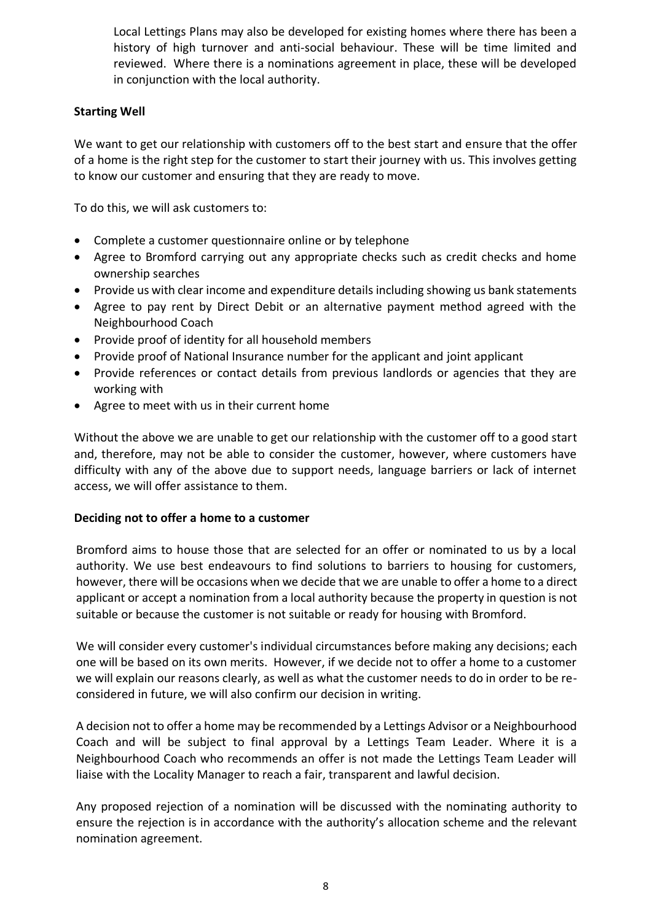Local Lettings Plans may also be developed for existing homes where there has been a history of high turnover and anti-social behaviour. These will be time limited and reviewed. Where there is a nominations agreement in place, these will be developed in conjunction with the local authority.

# **Starting Well**

We want to get our relationship with customers off to the best start and ensure that the offer of a home is the right step for the customer to start their journey with us. This involves getting to know our customer and ensuring that they are ready to move.

To do this, we will ask customers to:

- Complete a customer questionnaire online or by telephone
- Agree to Bromford carrying out any appropriate checks such as credit checks and home ownership searches
- Provide us with clear income and expenditure details including showing us bank statements
- Agree to pay rent by Direct Debit or an alternative payment method agreed with the Neighbourhood Coach
- Provide proof of identity for all household members
- Provide proof of National Insurance number for the applicant and joint applicant
- Provide references or contact details from previous landlords or agencies that they are working with
- Agree to meet with us in their current home

Without the above we are unable to get our relationship with the customer off to a good start and, therefore, may not be able to consider the customer, however, where customers have difficulty with any of the above due to support needs, language barriers or lack of internet access, we will offer assistance to them.

# **Deciding not to offer a home to a customer**

Bromford aims to house those that are selected for an offer or nominated to us by a local authority. We use best endeavours to find solutions to barriers to housing for customers, however, there will be occasions when we decide that we are unable to offer a home to a direct applicant or accept a nomination from a local authority because the property in question is not suitable or because the customer is not suitable or ready for housing with Bromford.

We will consider every customer's individual circumstances before making any decisions; each one will be based on its own merits. However, if we decide not to offer a home to a customer we will explain our reasons clearly, as well as what the customer needs to do in order to be reconsidered in future, we will also confirm our decision in writing.

A decision not to offer a home may be recommended by a Lettings Advisor or a Neighbourhood Coach and will be subject to final approval by a Lettings Team Leader. Where it is a Neighbourhood Coach who recommends an offer is not made the Lettings Team Leader will liaise with the Locality Manager to reach a fair, transparent and lawful decision.

Any proposed rejection of a nomination will be discussed with the nominating authority to ensure the rejection is in accordance with the authority's allocation scheme and the relevant nomination agreement.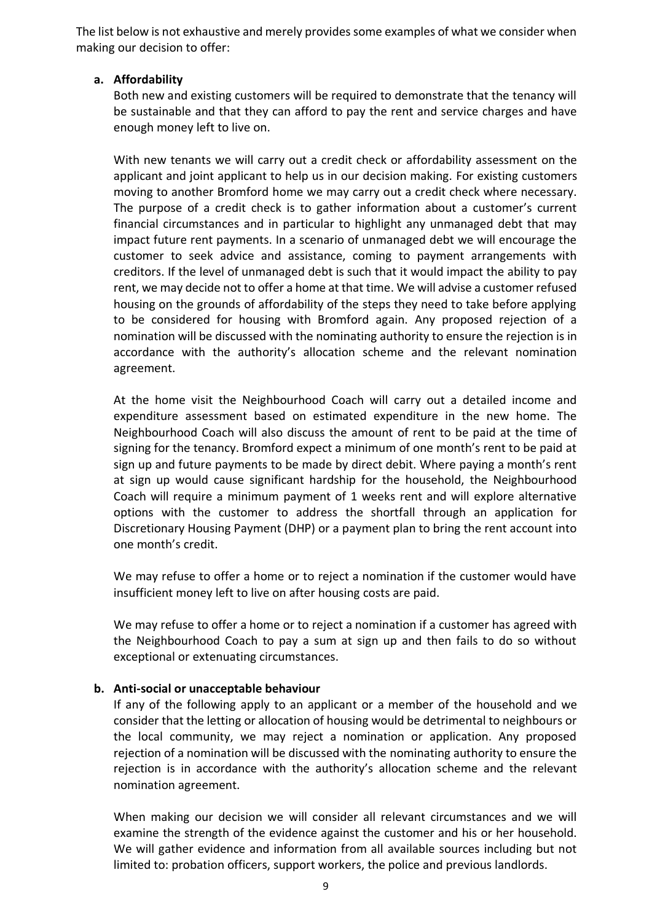The list below is not exhaustive and merely provides some examples of what we consider when making our decision to offer:

#### **a. Affordability**

Both new and existing customers will be required to demonstrate that the tenancy will be sustainable and that they can afford to pay the rent and service charges and have enough money left to live on.

With new tenants we will carry out a credit check or affordability assessment on the applicant and joint applicant to help us in our decision making. For existing customers moving to another Bromford home we may carry out a credit check where necessary. The purpose of a credit check is to gather information about a customer's current financial circumstances and in particular to highlight any unmanaged debt that may impact future rent payments. In a scenario of unmanaged debt we will encourage the customer to seek advice and assistance, coming to payment arrangements with creditors. If the level of unmanaged debt is such that it would impact the ability to pay rent, we may decide not to offer a home at that time. We will advise a customer refused housing on the grounds of affordability of the steps they need to take before applying to be considered for housing with Bromford again. Any proposed rejection of a nomination will be discussed with the nominating authority to ensure the rejection is in accordance with the authority's allocation scheme and the relevant nomination agreement.

At the home visit the Neighbourhood Coach will carry out a detailed income and expenditure assessment based on estimated expenditure in the new home. The Neighbourhood Coach will also discuss the amount of rent to be paid at the time of signing for the tenancy. Bromford expect a minimum of one month's rent to be paid at sign up and future payments to be made by direct debit. Where paying a month's rent at sign up would cause significant hardship for the household, the Neighbourhood Coach will require a minimum payment of 1 weeks rent and will explore alternative options with the customer to address the shortfall through an application for Discretionary Housing Payment (DHP) or a payment plan to bring the rent account into one month's credit.

We may refuse to offer a home or to reject a nomination if the customer would have insufficient money left to live on after housing costs are paid.

We may refuse to offer a home or to reject a nomination if a customer has agreed with the Neighbourhood Coach to pay a sum at sign up and then fails to do so without exceptional or extenuating circumstances.

#### **b. Anti-social or unacceptable behaviour**

If any of the following apply to an applicant or a member of the household and we consider that the letting or allocation of housing would be detrimental to neighbours or the local community, we may reject a nomination or application. Any proposed rejection of a nomination will be discussed with the nominating authority to ensure the rejection is in accordance with the authority's allocation scheme and the relevant nomination agreement.

When making our decision we will consider all relevant circumstances and we will examine the strength of the evidence against the customer and his or her household. We will gather evidence and information from all available sources including but not limited to: probation officers, support workers, the police and previous landlords.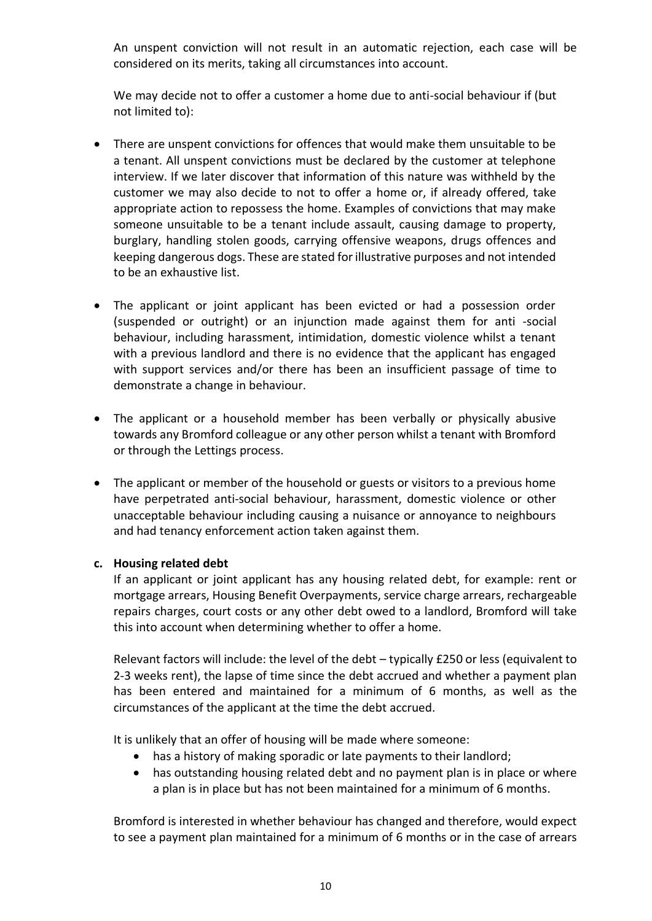An unspent conviction will not result in an automatic rejection, each case will be considered on its merits, taking all circumstances into account.

We may decide not to offer a customer a home due to anti-social behaviour if (but not limited to):

- There are unspent convictions for offences that would make them unsuitable to be a tenant. All unspent convictions must be declared by the customer at telephone interview. If we later discover that information of this nature was withheld by the customer we may also decide to not to offer a home or, if already offered, take appropriate action to repossess the home. Examples of convictions that may make someone unsuitable to be a tenant include assault, causing damage to property, burglary, handling stolen goods, carrying offensive weapons, drugs offences and keeping dangerous dogs. These are stated for illustrative purposes and not intended to be an exhaustive list.
- The applicant or joint applicant has been evicted or had a possession order (suspended or outright) or an injunction made against them for anti -social behaviour, including harassment, intimidation, domestic violence whilst a tenant with a previous landlord and there is no evidence that the applicant has engaged with support services and/or there has been an insufficient passage of time to demonstrate a change in behaviour.
- The applicant or a household member has been verbally or physically abusive towards any Bromford colleague or any other person whilst a tenant with Bromford or through the Lettings process.
- The applicant or member of the household or guests or visitors to a previous home have perpetrated anti-social behaviour, harassment, domestic violence or other unacceptable behaviour including causing a nuisance or annoyance to neighbours and had tenancy enforcement action taken against them.

# **c. Housing related debt**

If an applicant or joint applicant has any housing related debt, for example: rent or mortgage arrears, Housing Benefit Overpayments, service charge arrears, rechargeable repairs charges, court costs or any other debt owed to a landlord, Bromford will take this into account when determining whether to offer a home.

Relevant factors will include: the level of the debt – typically £250 or less (equivalent to 2-3 weeks rent), the lapse of time since the debt accrued and whether a payment plan has been entered and maintained for a minimum of 6 months, as well as the circumstances of the applicant at the time the debt accrued.

It is unlikely that an offer of housing will be made where someone:

- has a history of making sporadic or late payments to their landlord;
- has outstanding housing related debt and no payment plan is in place or where a plan is in place but has not been maintained for a minimum of 6 months.

Bromford is interested in whether behaviour has changed and therefore, would expect to see a payment plan maintained for a minimum of 6 months or in the case of arrears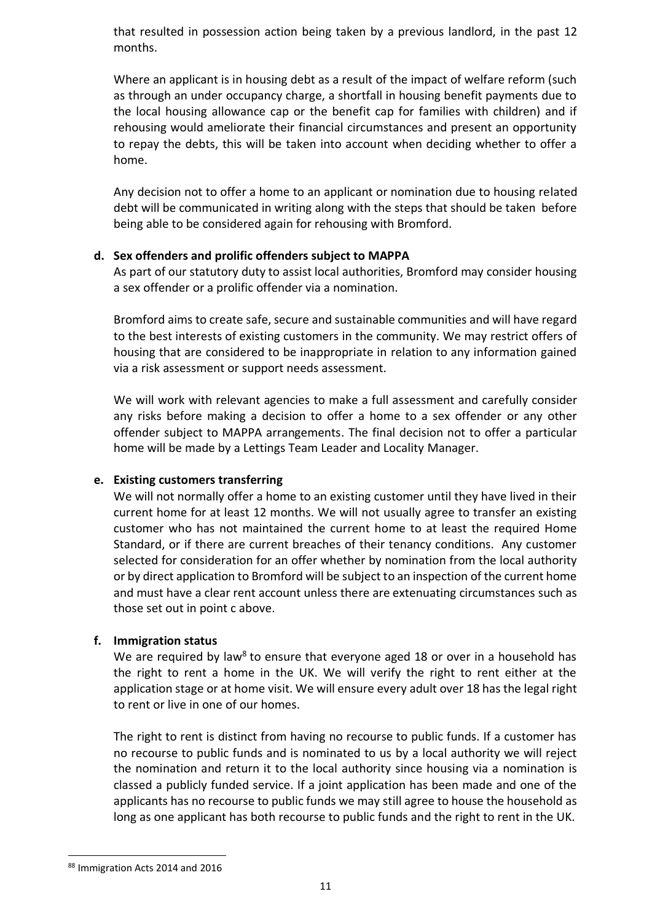that resulted in possession action being taken by a previous landlord, in the past 12 months.

Where an applicant is in housing debt as a result of the impact of welfare reform (such as through an under occupancy charge, a shortfall in housing benefit payments due to the local housing allowance cap or the benefit cap for families with children) and if rehousing would ameliorate their financial circumstances and present an opportunity to repay the debts, this will be taken into account when deciding whether to offer a home.

Any decision not to offer a home to an applicant or nomination due to housing related debt will be communicated in writing along with the steps that should be taken before being able to be considered again for rehousing with Bromford.

#### **d. Sex offenders and prolific offenders subject to MAPPA**

As part of our statutory duty to assist local authorities, Bromford may consider housing a sex offender or a prolific offender via a nomination.

Bromford aims to create safe, secure and sustainable communities and will have regard to the best interests of existing customers in the community. We may restrict offers of housing that are considered to be inappropriate in relation to any information gained via a risk assessment or support needs assessment.

We will work with relevant agencies to make a full assessment and carefully consider any risks before making a decision to offer a home to a sex offender or any other offender subject to MAPPA arrangements. The final decision not to offer a particular home will be made by a Lettings Team Leader and Locality Manager.

#### **e. Existing customers transferring**

We will not normally offer a home to an existing customer until they have lived in their current home for at least 12 months. We will not usually agree to transfer an existing customer who has not maintained the current home to at least the required Home Standard, or if there are current breaches of their tenancy conditions. Any customer selected for consideration for an offer whether by nomination from the local authority or by direct application to Bromford will be subject to an inspection of the current home and must have a clear rent account unless there are extenuating circumstances such as those set out in point c above.

# **f. Immigration status**

We are required by law<sup>8</sup> to ensure that everyone aged 18 or over in a household has the right to rent a home in the UK. We will verify the right to rent either at the application stage or at home visit. We will ensure every adult over 18 has the legal right to rent or live in one of our homes.

The right to rent is distinct from having no recourse to public funds. If a customer has no recourse to public funds and is nominated to us by a local authority we will reject the nomination and return it to the local authority since housing via a nomination is classed a publicly funded service. If a joint application has been made and one of the applicants has no recourse to public funds we may still agree to house the household as long as one applicant has both recourse to public funds and the right to rent in the UK.

<sup>88</sup> Immigration Acts 2014 and 2016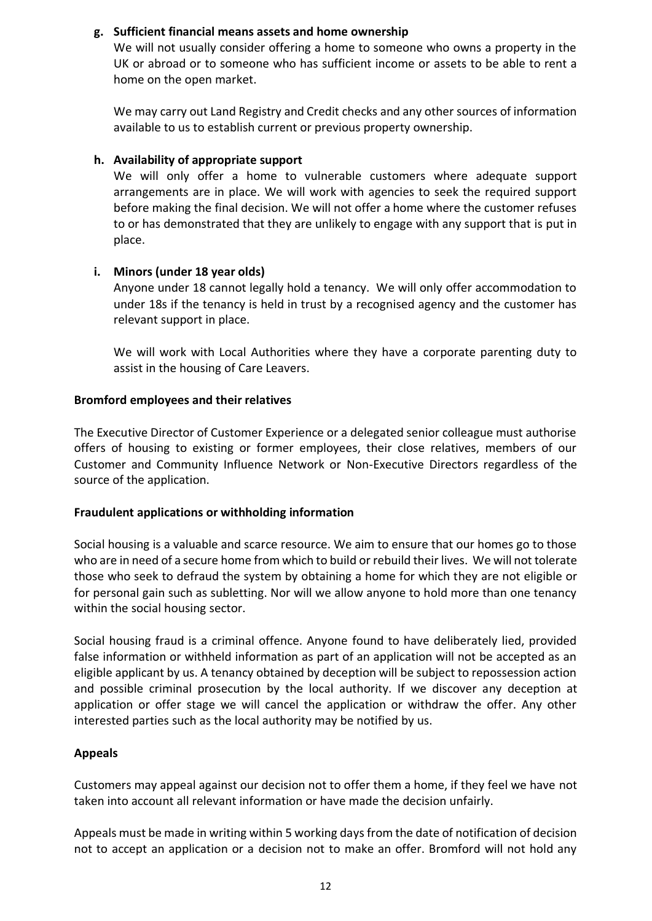## **g. Sufficient financial means assets and home ownership**

We will not usually consider offering a home to someone who owns a property in the UK or abroad or to someone who has sufficient income or assets to be able to rent a home on the open market.

We may carry out Land Registry and Credit checks and any other sources of information available to us to establish current or previous property ownership.

## **h. Availability of appropriate support**

We will only offer a home to vulnerable customers where adequate support arrangements are in place. We will work with agencies to seek the required support before making the final decision. We will not offer a home where the customer refuses to or has demonstrated that they are unlikely to engage with any support that is put in place.

#### **i. Minors (under 18 year olds)**

Anyone under 18 cannot legally hold a tenancy. We will only offer accommodation to under 18s if the tenancy is held in trust by a recognised agency and the customer has relevant support in place.

We will work with Local Authorities where they have a corporate parenting duty to assist in the housing of Care Leavers.

#### **Bromford employees and their relatives**

The Executive Director of Customer Experience or a delegated senior colleague must authorise offers of housing to existing or former employees, their close relatives, members of our Customer and Community Influence Network or Non-Executive Directors regardless of the source of the application.

#### **Fraudulent applications or withholding information**

Social housing is a valuable and scarce resource. We aim to ensure that our homes go to those who are in need of a secure home from which to build or rebuild their lives. We will not tolerate those who seek to defraud the system by obtaining a home for which they are not eligible or for personal gain such as subletting. Nor will we allow anyone to hold more than one tenancy within the social housing sector.

Social housing fraud is a criminal offence. Anyone found to have deliberately lied, provided false information or withheld information as part of an application will not be accepted as an eligible applicant by us. A tenancy obtained by deception will be subject to repossession action and possible criminal prosecution by the local authority. If we discover any deception at application or offer stage we will cancel the application or withdraw the offer. Any other interested parties such as the local authority may be notified by us.

# **Appeals**

Customers may appeal against our decision not to offer them a home, if they feel we have not taken into account all relevant information or have made the decision unfairly.

Appeals must be made in writing within 5 working days from the date of notification of decision not to accept an application or a decision not to make an offer. Bromford will not hold any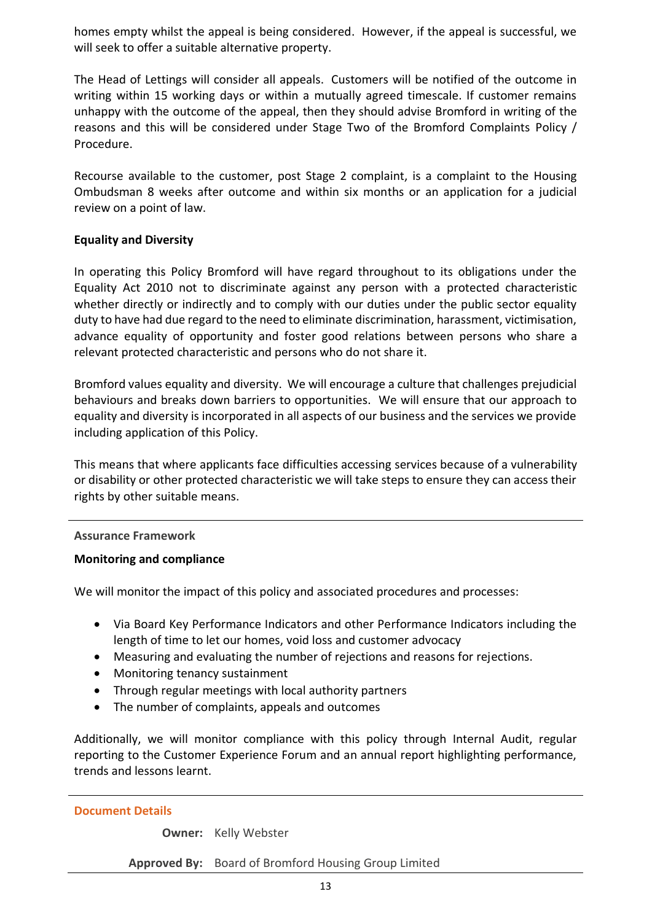homes empty whilst the appeal is being considered. However, if the appeal is successful, we will seek to offer a suitable alternative property.

The Head of Lettings will consider all appeals. Customers will be notified of the outcome in writing within 15 working days or within a mutually agreed timescale. If customer remains unhappy with the outcome of the appeal, then they should advise Bromford in writing of the reasons and this will be considered under Stage Two of the Bromford Complaints Policy / Procedure.

Recourse available to the customer, post Stage 2 complaint, is a complaint to the Housing Ombudsman 8 weeks after outcome and within six months or an application for a judicial review on a point of law.

#### **Equality and Diversity**

In operating this Policy Bromford will have regard throughout to its obligations under the Equality Act 2010 not to discriminate against any person with a protected characteristic whether directly or indirectly and to comply with our duties under the public sector equality duty to have had due regard to the need to eliminate discrimination, harassment, victimisation, advance equality of opportunity and foster good relations between persons who share a relevant protected characteristic and persons who do not share it.

Bromford values equality and diversity. We will encourage a culture that challenges prejudicial behaviours and breaks down barriers to opportunities. We will ensure that our approach to equality and diversity is incorporated in all aspects of our business and the services we provide including application of this Policy.

This means that where applicants face difficulties accessing services because of a vulnerability or disability or other protected characteristic we will take steps to ensure they can access their rights by other suitable means.

#### **Assurance Framework**

#### **Monitoring and compliance**

We will monitor the impact of this policy and associated procedures and processes:

- Via Board Key Performance Indicators and other Performance Indicators including the length of time to let our homes, void loss and customer advocacy
- Measuring and evaluating the number of rejections and reasons for rejections.
- Monitoring tenancy sustainment
- Through regular meetings with local authority partners
- The number of complaints, appeals and outcomes

Additionally, we will monitor compliance with this policy through Internal Audit, regular reporting to the Customer Experience Forum and an annual report highlighting performance, trends and lessons learnt.

#### **Document Details**

**Owner:** Kelly Webster

**Approved By:** Board of Bromford Housing Group Limited